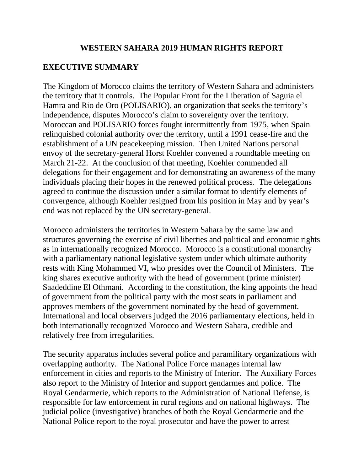#### **WESTERN SAHARA 2019 HUMAN RIGHTS REPORT**

## **EXECUTIVE SUMMARY**

The Kingdom of Morocco claims the territory of Western Sahara and administers the territory that it controls. The Popular Front for the Liberation of Saguia el Hamra and Rio de Oro (POLISARIO), an organization that seeks the territory's independence, disputes Morocco's claim to sovereignty over the territory. Moroccan and POLISARIO forces fought intermittently from 1975, when Spain relinquished colonial authority over the territory, until a 1991 cease-fire and the establishment of a UN peacekeeping mission. Then United Nations personal envoy of the secretary-general Horst Koehler convened a roundtable meeting on March 21-22. At the conclusion of that meeting, Koehler commended all delegations for their engagement and for demonstrating an awareness of the many individuals placing their hopes in the renewed political process. The delegations agreed to continue the discussion under a similar format to identify elements of convergence, although Koehler resigned from his position in May and by year's end was not replaced by the UN secretary-general.

Morocco administers the territories in Western Sahara by the same law and structures governing the exercise of civil liberties and political and economic rights as in internationally recognized Morocco. Morocco is a constitutional monarchy with a parliamentary national legislative system under which ultimate authority rests with King Mohammed VI, who presides over the Council of Ministers. The king shares executive authority with the head of government (prime minister) Saadeddine El Othmani. According to the constitution, the king appoints the head of government from the political party with the most seats in parliament and approves members of the government nominated by the head of government. International and local observers judged the 2016 parliamentary elections, held in both internationally recognized Morocco and Western Sahara, credible and relatively free from irregularities.

The security apparatus includes several police and paramilitary organizations with overlapping authority. The National Police Force manages internal law enforcement in cities and reports to the Ministry of Interior. The Auxiliary Forces also report to the Ministry of Interior and support gendarmes and police. The Royal Gendarmerie, which reports to the Administration of National Defense, is responsible for law enforcement in rural regions and on national highways. The judicial police (investigative) branches of both the Royal Gendarmerie and the National Police report to the royal prosecutor and have the power to arrest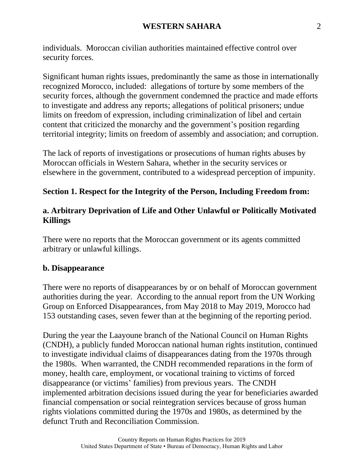individuals. Moroccan civilian authorities maintained effective control over security forces.

Significant human rights issues, predominantly the same as those in internationally recognized Morocco, included: allegations of torture by some members of the security forces, although the government condemned the practice and made efforts to investigate and address any reports; allegations of political prisoners; undue limits on freedom of expression, including criminalization of libel and certain content that criticized the monarchy and the government's position regarding territorial integrity; limits on freedom of assembly and association; and corruption.

The lack of reports of investigations or prosecutions of human rights abuses by Moroccan officials in Western Sahara, whether in the security services or elsewhere in the government, contributed to a widespread perception of impunity.

#### **Section 1. Respect for the Integrity of the Person, Including Freedom from:**

#### **a. Arbitrary Deprivation of Life and Other Unlawful or Politically Motivated Killings**

There were no reports that the Moroccan government or its agents committed arbitrary or unlawful killings.

#### **b. Disappearance**

There were no reports of disappearances by or on behalf of Moroccan government authorities during the year. According to the annual report from the UN Working Group on Enforced Disappearances, from May 2018 to May 2019, Morocco had 153 outstanding cases, seven fewer than at the beginning of the reporting period.

During the year the Laayoune branch of the National Council on Human Rights (CNDH), a publicly funded Moroccan national human rights institution, continued to investigate individual claims of disappearances dating from the 1970s through the 1980s. When warranted, the CNDH recommended reparations in the form of money, health care, employment, or vocational training to victims of forced disappearance (or victims' families) from previous years. The CNDH implemented arbitration decisions issued during the year for beneficiaries awarded financial compensation or social reintegration services because of gross human rights violations committed during the 1970s and 1980s, as determined by the defunct Truth and Reconciliation Commission.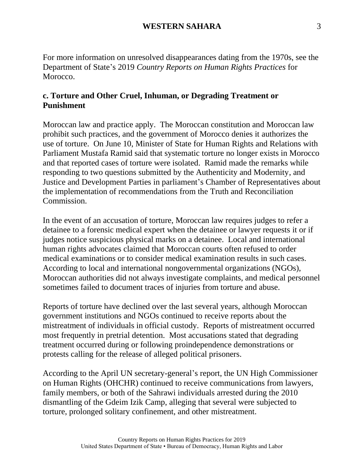For more information on unresolved disappearances dating from the 1970s, see the Department of State's 2019 *Country Reports on Human Rights Practices* for Morocco.

#### **c. Torture and Other Cruel, Inhuman, or Degrading Treatment or Punishment**

Moroccan law and practice apply. The Moroccan constitution and Moroccan law prohibit such practices, and the government of Morocco denies it authorizes the use of torture. On June 10, Minister of State for Human Rights and Relations with Parliament Mustafa Ramid said that systematic torture no longer exists in Morocco and that reported cases of torture were isolated. Ramid made the remarks while responding to two questions submitted by the Authenticity and Modernity, and Justice and Development Parties in parliament's Chamber of Representatives about the implementation of recommendations from the Truth and Reconciliation Commission.

In the event of an accusation of torture, Moroccan law requires judges to refer a detainee to a forensic medical expert when the detainee or lawyer requests it or if judges notice suspicious physical marks on a detainee. Local and international human rights advocates claimed that Moroccan courts often refused to order medical examinations or to consider medical examination results in such cases. According to local and international nongovernmental organizations (NGOs), Moroccan authorities did not always investigate complaints, and medical personnel sometimes failed to document traces of injuries from torture and abuse.

Reports of torture have declined over the last several years, although Moroccan government institutions and NGOs continued to receive reports about the mistreatment of individuals in official custody. Reports of mistreatment occurred most frequently in pretrial detention. Most accusations stated that degrading treatment occurred during or following proindependence demonstrations or protests calling for the release of alleged political prisoners.

According to the April UN secretary-general's report, the UN High Commissioner on Human Rights (OHCHR) continued to receive communications from lawyers, family members, or both of the Sahrawi individuals arrested during the 2010 dismantling of the Gdeim Izik Camp, alleging that several were subjected to torture, prolonged solitary confinement, and other mistreatment.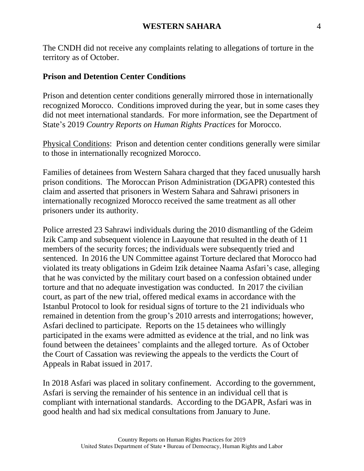The CNDH did not receive any complaints relating to allegations of torture in the territory as of October.

#### **Prison and Detention Center Conditions**

Prison and detention center conditions generally mirrored those in internationally recognized Morocco. Conditions improved during the year, but in some cases they did not meet international standards. For more information, see the Department of State's 2019 *Country Reports on Human Rights Practices* for Morocco.

Physical Conditions: Prison and detention center conditions generally were similar to those in internationally recognized Morocco.

Families of detainees from Western Sahara charged that they faced unusually harsh prison conditions. The Moroccan Prison Administration (DGAPR) contested this claim and asserted that prisoners in Western Sahara and Sahrawi prisoners in internationally recognized Morocco received the same treatment as all other prisoners under its authority.

Police arrested 23 Sahrawi individuals during the 2010 dismantling of the Gdeim Izik Camp and subsequent violence in Laayoune that resulted in the death of 11 members of the security forces; the individuals were subsequently tried and sentenced. In 2016 the UN Committee against Torture declared that Morocco had violated its treaty obligations in Gdeim Izik detainee Naama Asfari's case, alleging that he was convicted by the military court based on a confession obtained under torture and that no adequate investigation was conducted. In 2017 the civilian court, as part of the new trial, offered medical exams in accordance with the Istanbul Protocol to look for residual signs of torture to the 21 individuals who remained in detention from the group's 2010 arrests and interrogations; however, Asfari declined to participate. Reports on the 15 detainees who willingly participated in the exams were admitted as evidence at the trial, and no link was found between the detainees' complaints and the alleged torture. As of October the Court of Cassation was reviewing the appeals to the verdicts the Court of Appeals in Rabat issued in 2017.

In 2018 Asfari was placed in solitary confinement. According to the government, Asfari is serving the remainder of his sentence in an individual cell that is compliant with international standards. According to the DGAPR, Asfari was in good health and had six medical consultations from January to June.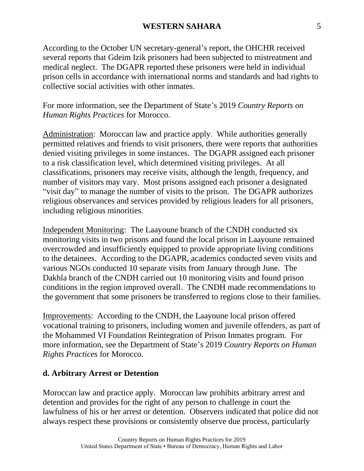According to the October UN secretary-general's report, the OHCHR received several reports that Gdeim Izik prisoners had been subjected to mistreatment and medical neglect. The DGAPR reported these prisoners were held in individual prison cells in accordance with international norms and standards and had rights to collective social activities with other inmates.

For more information, see the Department of State's 2019 *Country Reports on Human Rights Practices* for Morocco.

Administration: Moroccan law and practice apply. While authorities generally permitted relatives and friends to visit prisoners, there were reports that authorities denied visiting privileges in some instances. The DGAPR assigned each prisoner to a risk classification level, which determined visiting privileges. At all classifications, prisoners may receive visits, although the length, frequency, and number of visitors may vary. Most prisons assigned each prisoner a designated "visit day" to manage the number of visits to the prison. The DGAPR authorizes religious observances and services provided by religious leaders for all prisoners, including religious minorities.

Independent Monitoring: The Laayoune branch of the CNDH conducted six monitoring visits in two prisons and found the local prison in Laayoune remained overcrowded and insufficiently equipped to provide appropriate living conditions to the detainees. According to the DGAPR, academics conducted seven visits and various NGOs conducted 10 separate visits from January through June. The Dakhla branch of the CNDH carried out 10 monitoring visits and found prison conditions in the region improved overall. The CNDH made recommendations to the government that some prisoners be transferred to regions close to their families.

Improvements: According to the CNDH, the Laayoune local prison offered vocational training to prisoners, including women and juvenile offenders, as part of the Mohammed VI Foundation Reintegration of Prison Inmates program. For more information, see the Department of State's 2019 *Country Reports on Human Rights Practices* for Morocco.

#### **d. Arbitrary Arrest or Detention**

Moroccan law and practice apply. Moroccan law prohibits arbitrary arrest and detention and provides for the right of any person to challenge in court the lawfulness of his or her arrest or detention. Observers indicated that police did not always respect these provisions or consistently observe due process, particularly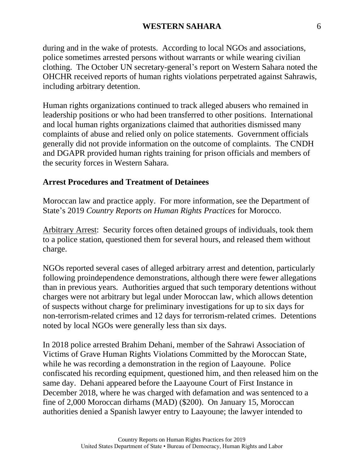#### **WESTERN SAHARA** 6

during and in the wake of protests. According to local NGOs and associations, police sometimes arrested persons without warrants or while wearing civilian clothing. The October UN secretary-general's report on Western Sahara noted the OHCHR received reports of human rights violations perpetrated against Sahrawis, including arbitrary detention.

Human rights organizations continued to track alleged abusers who remained in leadership positions or who had been transferred to other positions. International and local human rights organizations claimed that authorities dismissed many complaints of abuse and relied only on police statements. Government officials generally did not provide information on the outcome of complaints. The CNDH and DGAPR provided human rights training for prison officials and members of the security forces in Western Sahara.

#### **Arrest Procedures and Treatment of Detainees**

Moroccan law and practice apply. For more information, see the Department of State's 2019 *Country Reports on Human Rights Practices* for Morocco.

Arbitrary Arrest: Security forces often detained groups of individuals, took them to a police station, questioned them for several hours, and released them without charge.

NGOs reported several cases of alleged arbitrary arrest and detention, particularly following proindependence demonstrations, although there were fewer allegations than in previous years. Authorities argued that such temporary detentions without charges were not arbitrary but legal under Moroccan law, which allows detention of suspects without charge for preliminary investigations for up to six days for non-terrorism-related crimes and 12 days for terrorism-related crimes. Detentions noted by local NGOs were generally less than six days.

In 2018 police arrested Brahim Dehani, member of the Sahrawi Association of Victims of Grave Human Rights Violations Committed by the Moroccan State, while he was recording a demonstration in the region of Laayoune. Police confiscated his recording equipment, questioned him, and then released him on the same day. Dehani appeared before the Laayoune Court of First Instance in December 2018, where he was charged with defamation and was sentenced to a fine of 2,000 Moroccan dirhams (MAD) (\$200). On January 15, Moroccan authorities denied a Spanish lawyer entry to Laayoune; the lawyer intended to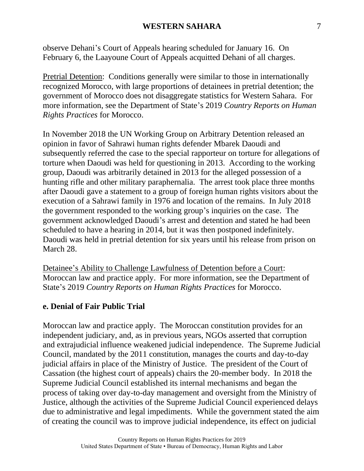observe Dehani's Court of Appeals hearing scheduled for January 16. On February 6, the Laayoune Court of Appeals acquitted Dehani of all charges.

Pretrial Detention: Conditions generally were similar to those in internationally recognized Morocco, with large proportions of detainees in pretrial detention; the government of Morocco does not disaggregate statistics for Western Sahara. For more information, see the Department of State's 2019 *Country Reports on Human Rights Practices* for Morocco.

In November 2018 the UN Working Group on Arbitrary Detention released an opinion in favor of Sahrawi human rights defender Mbarek Daoudi and subsequently referred the case to the special rapporteur on torture for allegations of torture when Daoudi was held for questioning in 2013. According to the working group, Daoudi was arbitrarily detained in 2013 for the alleged possession of a hunting rifle and other military paraphernalia. The arrest took place three months after Daoudi gave a statement to a group of foreign human rights visitors about the execution of a Sahrawi family in 1976 and location of the remains. In July 2018 the government responded to the working group's inquiries on the case. The government acknowledged Daoudi's arrest and detention and stated he had been scheduled to have a hearing in 2014, but it was then postponed indefinitely. Daoudi was held in pretrial detention for six years until his release from prison on March 28.

Detainee's Ability to Challenge Lawfulness of Detention before a Court: Moroccan law and practice apply. For more information, see the Department of State's 2019 *Country Reports on Human Rights Practices* for Morocco.

#### **e. Denial of Fair Public Trial**

Moroccan law and practice apply. The Moroccan constitution provides for an independent judiciary, and, as in previous years, NGOs asserted that corruption and extrajudicial influence weakened judicial independence. The Supreme Judicial Council, mandated by the 2011 constitution, manages the courts and day-to-day judicial affairs in place of the Ministry of Justice. The president of the Court of Cassation (the highest court of appeals) chairs the 20-member body. In 2018 the Supreme Judicial Council established its internal mechanisms and began the process of taking over day-to-day management and oversight from the Ministry of Justice, although the activities of the Supreme Judicial Council experienced delays due to administrative and legal impediments. While the government stated the aim of creating the council was to improve judicial independence, its effect on judicial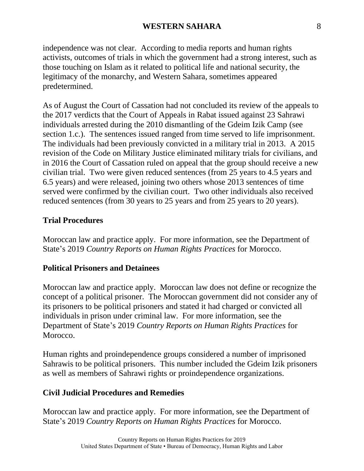independence was not clear. According to media reports and human rights activists, outcomes of trials in which the government had a strong interest, such as those touching on Islam as it related to political life and national security, the legitimacy of the monarchy, and Western Sahara, sometimes appeared predetermined.

As of August the Court of Cassation had not concluded its review of the appeals to the 2017 verdicts that the Court of Appeals in Rabat issued against 23 Sahrawi individuals arrested during the 2010 dismantling of the Gdeim Izik Camp (see section 1.c.). The sentences issued ranged from time served to life imprisonment. The individuals had been previously convicted in a military trial in 2013. A 2015 revision of the Code on Military Justice eliminated military trials for civilians, and in 2016 the Court of Cassation ruled on appeal that the group should receive a new civilian trial. Two were given reduced sentences (from 25 years to 4.5 years and 6.5 years) and were released, joining two others whose 2013 sentences of time served were confirmed by the civilian court. Two other individuals also received reduced sentences (from 30 years to 25 years and from 25 years to 20 years).

## **Trial Procedures**

Moroccan law and practice apply. For more information, see the Department of State's 2019 *Country Reports on Human Rights Practices* for Morocco.

## **Political Prisoners and Detainees**

Moroccan law and practice apply. Moroccan law does not define or recognize the concept of a political prisoner. The Moroccan government did not consider any of its prisoners to be political prisoners and stated it had charged or convicted all individuals in prison under criminal law. For more information, see the Department of State's 2019 *Country Reports on Human Rights Practices* for Morocco.

Human rights and proindependence groups considered a number of imprisoned Sahrawis to be political prisoners. This number included the Gdeim Izik prisoners as well as members of Sahrawi rights or proindependence organizations.

## **Civil Judicial Procedures and Remedies**

Moroccan law and practice apply. For more information, see the Department of State's 2019 *Country Reports on Human Rights Practices* for Morocco.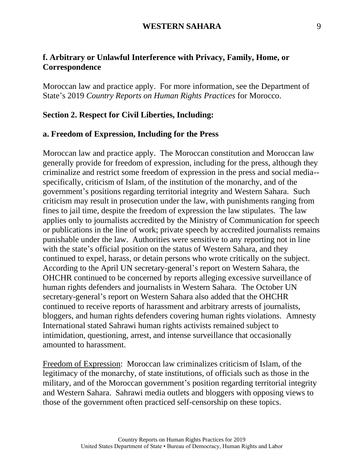## **f. Arbitrary or Unlawful Interference with Privacy, Family, Home, or Correspondence**

Moroccan law and practice apply. For more information, see the Department of State's 2019 *Country Reports on Human Rights Practices* for Morocco.

#### **Section 2. Respect for Civil Liberties, Including:**

#### **a. Freedom of Expression, Including for the Press**

Moroccan law and practice apply. The Moroccan constitution and Moroccan law generally provide for freedom of expression, including for the press, although they criminalize and restrict some freedom of expression in the press and social media- specifically, criticism of Islam, of the institution of the monarchy, and of the government's positions regarding territorial integrity and Western Sahara. Such criticism may result in prosecution under the law, with punishments ranging from fines to jail time, despite the freedom of expression the law stipulates. The law applies only to journalists accredited by the Ministry of Communication for speech or publications in the line of work; private speech by accredited journalists remains punishable under the law. Authorities were sensitive to any reporting not in line with the state's official position on the status of Western Sahara, and they continued to expel, harass, or detain persons who wrote critically on the subject. According to the April UN secretary-general's report on Western Sahara, the OHCHR continued to be concerned by reports alleging excessive surveillance of human rights defenders and journalists in Western Sahara. The October UN secretary-general's report on Western Sahara also added that the OHCHR continued to receive reports of harassment and arbitrary arrests of journalists, bloggers, and human rights defenders covering human rights violations. Amnesty International stated Sahrawi human rights activists remained subject to intimidation, questioning, arrest, and intense surveillance that occasionally amounted to harassment.

Freedom of Expression: Moroccan law criminalizes criticism of Islam, of the legitimacy of the monarchy, of state institutions, of officials such as those in the military, and of the Moroccan government's position regarding territorial integrity and Western Sahara. Sahrawi media outlets and bloggers with opposing views to those of the government often practiced self-censorship on these topics.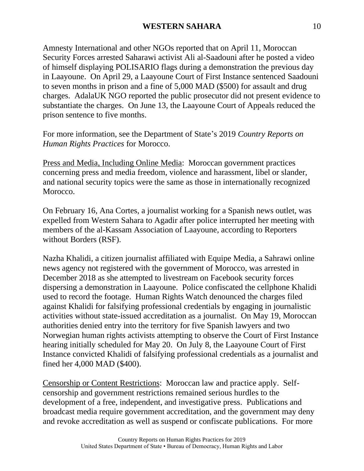Amnesty International and other NGOs reported that on April 11, Moroccan Security Forces arrested Saharawi activist Ali al-Saadouni after he posted a video of himself displaying POLISARIO flags during a demonstration the previous day in Laayoune. On April 29, a Laayoune Court of First Instance sentenced Saadouni to seven months in prison and a fine of 5,000 MAD (\$500) for assault and drug charges. AdalaUK NGO reported the public prosecutor did not present evidence to substantiate the charges. On June 13, the Laayoune Court of Appeals reduced the prison sentence to five months.

For more information, see the Department of State's 2019 *Country Reports on Human Rights Practices* for Morocco.

Press and Media, Including Online Media: Moroccan government practices concerning press and media freedom, violence and harassment, libel or slander, and national security topics were the same as those in internationally recognized Morocco.

On February 16, Ana Cortes, a journalist working for a Spanish news outlet, was expelled from Western Sahara to Agadir after police interrupted her meeting with members of the al-Kassam Association of Laayoune, according to Reporters without Borders (RSF).

Nazha Khalidi, a citizen journalist affiliated with Equipe Media, a Sahrawi online news agency not registered with the government of Morocco, was arrested in December 2018 as she attempted to livestream on Facebook security forces dispersing a demonstration in Laayoune. Police confiscated the cellphone Khalidi used to record the footage. Human Rights Watch denounced the charges filed against Khalidi for falsifying professional credentials by engaging in journalistic activities without state-issued accreditation as a journalist. On May 19, Moroccan authorities denied entry into the territory for five Spanish lawyers and two Norwegian human rights activists attempting to observe the Court of First Instance hearing initially scheduled for May 20. On July 8, the Laayoune Court of First Instance convicted Khalidi of falsifying professional credentials as a journalist and fined her 4,000 MAD (\$400).

Censorship or Content Restrictions: Moroccan law and practice apply. Selfcensorship and government restrictions remained serious hurdles to the development of a free, independent, and investigative press. Publications and broadcast media require government accreditation, and the government may deny and revoke accreditation as well as suspend or confiscate publications. For more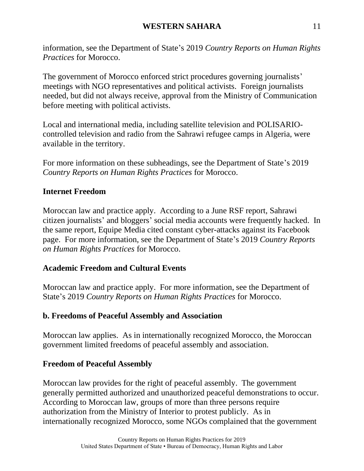information, see the Department of State's 2019 *Country Reports on Human Rights Practices* for Morocco.

The government of Morocco enforced strict procedures governing journalists' meetings with NGO representatives and political activists. Foreign journalists needed, but did not always receive, approval from the Ministry of Communication before meeting with political activists.

Local and international media, including satellite television and POLISARIOcontrolled television and radio from the Sahrawi refugee camps in Algeria, were available in the territory.

For more information on these subheadings, see the Department of State's 2019 *Country Reports on Human Rights Practices* for Morocco.

# **Internet Freedom**

Moroccan law and practice apply. According to a June RSF report, Sahrawi citizen journalists' and bloggers' social media accounts were frequently hacked. In the same report, Equipe Media cited constant cyber-attacks against its Facebook page. For more information, see the Department of State's 2019 *Country Reports on Human Rights Practices* for Morocco.

# **Academic Freedom and Cultural Events**

Moroccan law and practice apply. For more information, see the Department of State's 2019 *Country Reports on Human Rights Practices* for Morocco.

# **b. Freedoms of Peaceful Assembly and Association**

Moroccan law applies. As in internationally recognized Morocco, the Moroccan government limited freedoms of peaceful assembly and association.

# **Freedom of Peaceful Assembly**

Moroccan law provides for the right of peaceful assembly. The government generally permitted authorized and unauthorized peaceful demonstrations to occur. According to Moroccan law, groups of more than three persons require authorization from the Ministry of Interior to protest publicly. As in internationally recognized Morocco, some NGOs complained that the government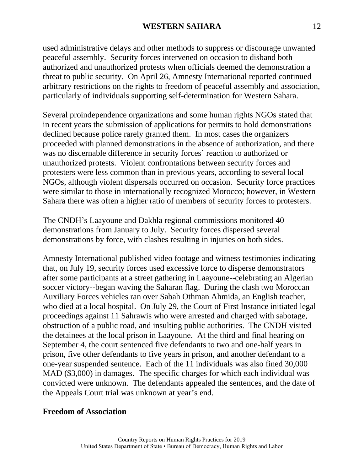used administrative delays and other methods to suppress or discourage unwanted peaceful assembly. Security forces intervened on occasion to disband both authorized and unauthorized protests when officials deemed the demonstration a threat to public security. On April 26, Amnesty International reported continued arbitrary restrictions on the rights to freedom of peaceful assembly and association, particularly of individuals supporting self-determination for Western Sahara.

Several proindependence organizations and some human rights NGOs stated that in recent years the submission of applications for permits to hold demonstrations declined because police rarely granted them. In most cases the organizers proceeded with planned demonstrations in the absence of authorization, and there was no discernable difference in security forces' reaction to authorized or unauthorized protests. Violent confrontations between security forces and protesters were less common than in previous years, according to several local NGOs, although violent dispersals occurred on occasion. Security force practices were similar to those in internationally recognized Morocco; however, in Western Sahara there was often a higher ratio of members of security forces to protesters.

The CNDH's Laayoune and Dakhla regional commissions monitored 40 demonstrations from January to July. Security forces dispersed several demonstrations by force, with clashes resulting in injuries on both sides.

Amnesty International published video footage and witness testimonies indicating that, on July 19, security forces used excessive force to disperse demonstrators after some participants at a street gathering in Laayoune--celebrating an Algerian soccer victory--began waving the Saharan flag. During the clash two Moroccan Auxiliary Forces vehicles ran over Sabah Othman Ahmida, an English teacher, who died at a local hospital. On July 29, the Court of First Instance initiated legal proceedings against 11 Sahrawis who were arrested and charged with sabotage, obstruction of a public road, and insulting public authorities. The CNDH visited the detainees at the local prison in Laayoune. At the third and final hearing on September 4, the court sentenced five defendants to two and one-half years in prison, five other defendants to five years in prison, and another defendant to a one-year suspended sentence. Each of the 11 individuals was also fined 30,000 MAD (\$3,000) in damages. The specific charges for which each individual was convicted were unknown. The defendants appealed the sentences, and the date of the Appeals Court trial was unknown at year's end.

#### **Freedom of Association**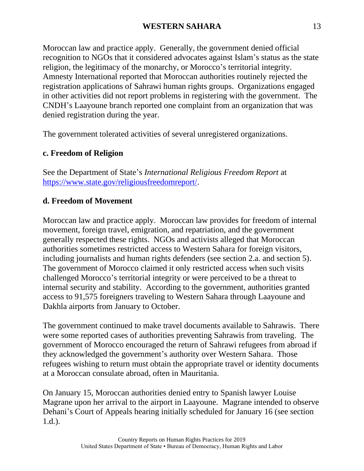#### **WESTERN SAHARA** 13

Moroccan law and practice apply. Generally, the government denied official recognition to NGOs that it considered advocates against Islam's status as the state religion, the legitimacy of the monarchy, or Morocco's territorial integrity. Amnesty International reported that Moroccan authorities routinely rejected the registration applications of Sahrawi human rights groups. Organizations engaged in other activities did not report problems in registering with the government. The CNDH's Laayoune branch reported one complaint from an organization that was denied registration during the year.

The government tolerated activities of several unregistered organizations.

#### **c. Freedom of Religion**

See the Department of State's *International Religious Freedom Report* at [https://www.state.gov/religiousfreedomreport/.](http://www.state.gov/religiousfreedomreport/)

### **d. Freedom of Movement**

Moroccan law and practice apply. Moroccan law provides for freedom of internal movement, foreign travel, emigration, and repatriation, and the government generally respected these rights. NGOs and activists alleged that Moroccan authorities sometimes restricted access to Western Sahara for foreign visitors, including journalists and human rights defenders (see section 2.a. and section 5). The government of Morocco claimed it only restricted access when such visits challenged Morocco's territorial integrity or were perceived to be a threat to internal security and stability. According to the government, authorities granted access to 91,575 foreigners traveling to Western Sahara through Laayoune and Dakhla airports from January to October.

The government continued to make travel documents available to Sahrawis. There were some reported cases of authorities preventing Sahrawis from traveling. The government of Morocco encouraged the return of Sahrawi refugees from abroad if they acknowledged the government's authority over Western Sahara. Those refugees wishing to return must obtain the appropriate travel or identity documents at a Moroccan consulate abroad, often in Mauritania.

On January 15, Moroccan authorities denied entry to Spanish lawyer Louise Magrane upon her arrival to the airport in Laayoune. Magrane intended to observe Dehani's Court of Appeals hearing initially scheduled for January 16 (see section 1.d.).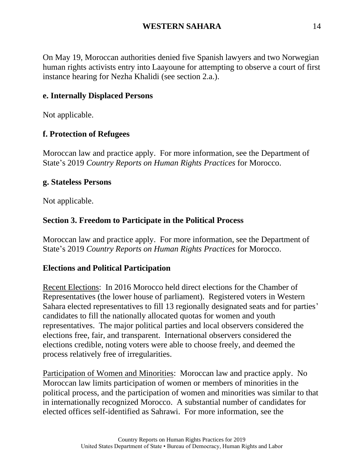On May 19, Moroccan authorities denied five Spanish lawyers and two Norwegian human rights activists entry into Laayoune for attempting to observe a court of first instance hearing for Nezha Khalidi (see section 2.a.).

# **e. Internally Displaced Persons**

Not applicable.

## **f. Protection of Refugees**

Moroccan law and practice apply. For more information, see the Department of State's 2019 *Country Reports on Human Rights Practices* for Morocco.

### **g. Stateless Persons**

Not applicable.

## **Section 3. Freedom to Participate in the Political Process**

Moroccan law and practice apply. For more information, see the Department of State's 2019 *Country Reports on Human Rights Practices* for Morocco.

## **Elections and Political Participation**

Recent Elections: In 2016 Morocco held direct elections for the Chamber of Representatives (the lower house of parliament). Registered voters in Western Sahara elected representatives to fill 13 regionally designated seats and for parties' candidates to fill the nationally allocated quotas for women and youth representatives. The major political parties and local observers considered the elections free, fair, and transparent. International observers considered the elections credible, noting voters were able to choose freely, and deemed the process relatively free of irregularities.

Participation of Women and Minorities: Moroccan law and practice apply. No Moroccan law limits participation of women or members of minorities in the political process, and the participation of women and minorities was similar to that in internationally recognized Morocco. A substantial number of candidates for elected offices self-identified as Sahrawi. For more information, see the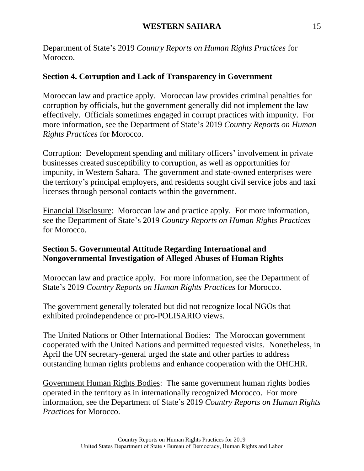Department of State's 2019 *Country Reports on Human Rights Practices* for Morocco.

## **Section 4. Corruption and Lack of Transparency in Government**

Moroccan law and practice apply. Moroccan law provides criminal penalties for corruption by officials, but the government generally did not implement the law effectively. Officials sometimes engaged in corrupt practices with impunity. For more information, see the Department of State's 2019 *Country Reports on Human Rights Practices* for Morocco.

Corruption: Development spending and military officers' involvement in private businesses created susceptibility to corruption, as well as opportunities for impunity, in Western Sahara. The government and state-owned enterprises were the territory's principal employers, and residents sought civil service jobs and taxi licenses through personal contacts within the government.

Financial Disclosure: Moroccan law and practice apply. For more information, see the Department of State's 2019 *Country Reports on Human Rights Practices* for Morocco.

## **Section 5. Governmental Attitude Regarding International and Nongovernmental Investigation of Alleged Abuses of Human Rights**

Moroccan law and practice apply. For more information, see the Department of State's 2019 *Country Reports on Human Rights Practices* for Morocco.

The government generally tolerated but did not recognize local NGOs that exhibited proindependence or pro-POLISARIO views.

The United Nations or Other International Bodies: The Moroccan government cooperated with the United Nations and permitted requested visits. Nonetheless, in April the UN secretary-general urged the state and other parties to address outstanding human rights problems and enhance cooperation with the OHCHR.

Government Human Rights Bodies: The same government human rights bodies operated in the territory as in internationally recognized Morocco. For more information, see the Department of State's 2019 *Country Reports on Human Rights Practices* for Morocco.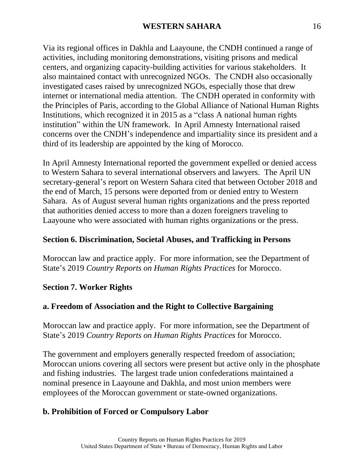Via its regional offices in Dakhla and Laayoune, the CNDH continued a range of activities, including monitoring demonstrations, visiting prisons and medical centers, and organizing capacity-building activities for various stakeholders. It also maintained contact with unrecognized NGOs. The CNDH also occasionally investigated cases raised by unrecognized NGOs, especially those that drew internet or international media attention. The CNDH operated in conformity with the Principles of Paris, according to the Global Alliance of National Human Rights Institutions, which recognized it in 2015 as a "class A national human rights institution" within the UN framework. In April Amnesty International raised concerns over the CNDH's independence and impartiality since its president and a third of its leadership are appointed by the king of Morocco.

In April Amnesty International reported the government expelled or denied access to Western Sahara to several international observers and lawyers. The April UN secretary-general's report on Western Sahara cited that between October 2018 and the end of March, 15 persons were deported from or denied entry to Western Sahara. As of August several human rights organizations and the press reported that authorities denied access to more than a dozen foreigners traveling to Laayoune who were associated with human rights organizations or the press.

### **Section 6. Discrimination, Societal Abuses, and Trafficking in Persons**

Moroccan law and practice apply. For more information, see the Department of State's 2019 *Country Reports on Human Rights Practices* for Morocco.

#### **Section 7. Worker Rights**

#### **a. Freedom of Association and the Right to Collective Bargaining**

Moroccan law and practice apply. For more information, see the Department of State's 2019 *Country Reports on Human Rights Practices* for Morocco.

The government and employers generally respected freedom of association; Moroccan unions covering all sectors were present but active only in the phosphate and fishing industries. The largest trade union confederations maintained a nominal presence in Laayoune and Dakhla, and most union members were employees of the Moroccan government or state-owned organizations.

## **b. Prohibition of Forced or Compulsory Labor**